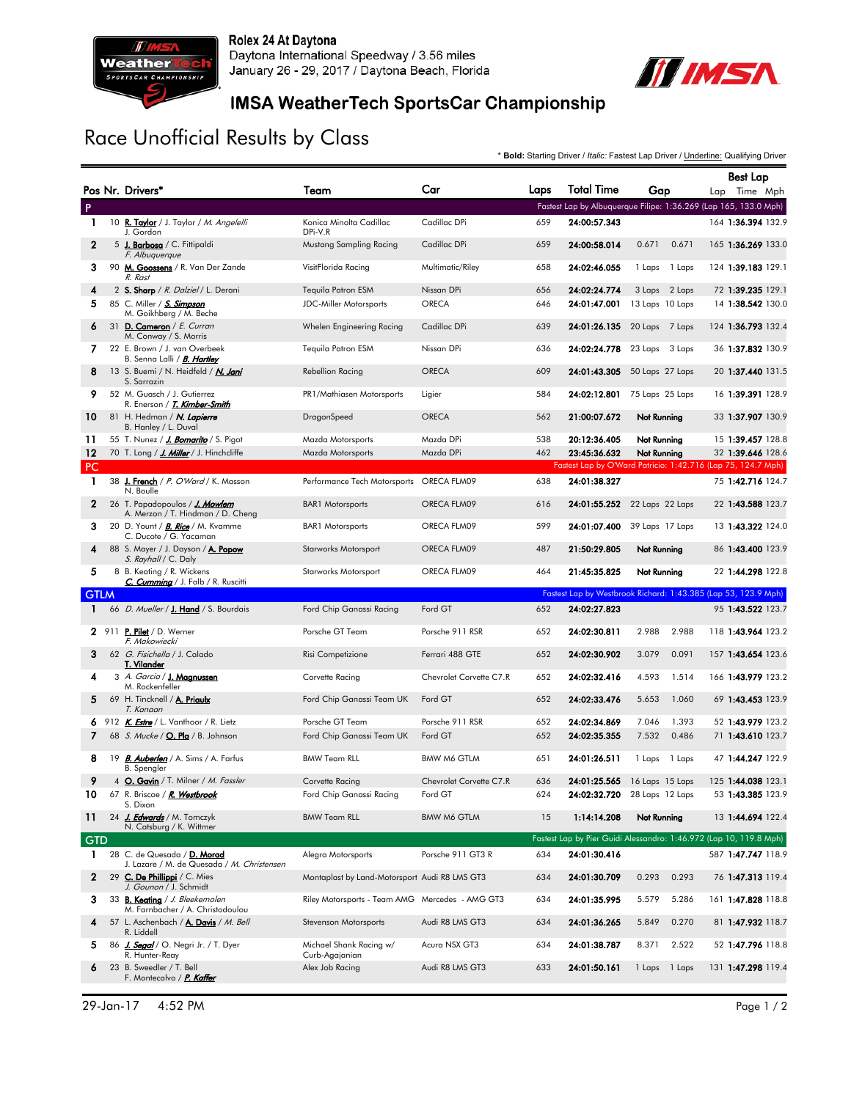

Rolex 24 At Daytona Daytona International Speedway / 3.56 miles January 26 - 29, 2017 / Daytona Beach, Florida



## IMSA WeatherTech SportsCar Championship

## Race Unofficial Results by Class

\* **Bold:** Starting Driver / *Italic:* Fastest Lap Driver / Underline: Qualifying Driver

|              |                                                                           |                                                 |                         |      |                   |                              | <b>Best Lap</b>                                                    |
|--------------|---------------------------------------------------------------------------|-------------------------------------------------|-------------------------|------|-------------------|------------------------------|--------------------------------------------------------------------|
|              | Pos Nr. Drivers*                                                          | Team                                            | Car                     | Laps | <b>Total Time</b> | Gap                          | Lap Time Mph                                                       |
| P            |                                                                           |                                                 |                         |      |                   |                              | Fastest Lap by Albuquerque Filipe: 1:36.269 (Lap 165, 133.0 Mph)   |
| $\mathbf{1}$ | 10 R. Taylor / J. Taylor / M. Angelelli<br>J. Gordon                      | Konica Minolta Cadillac<br>DPi-V.R              | Cadillac DPi            | 659  | 24:00:57.343      |                              | 164 1:36.394 132.9                                                 |
| $\mathbf{2}$ | 5 J. Barbosa / C. Fittipaldi<br>F. Albuquerque                            | Mustang Sampling Racing                         | Cadillac DPi            | 659  | 24:00:58.014      | 0.671<br>0.671               | 165 1:36.269 133.0                                                 |
| 3            | 90 M. Goossens / R. Van Der Zande<br>R. Rast                              | VisitFlorida Racing                             | Multimatic/Riley        | 658  | 24:02:46.055      | 1 Laps<br>1 Laps             | 124 1:39.183 129.1                                                 |
| 4            | 2 S. Sharp / R. Dalziel / L. Derani                                       | Tequila Patron ESM                              | Nissan DPi              | 656  | 24:02:24.774      | 3 Laps 2 Laps                | 72 1:39.235 129.1                                                  |
| 5            | 85 C. Miller / S. Simpson<br>M. Goikhberg / M. Beche                      | <b>JDC-Miller Motorsports</b>                   | <b>ORECA</b>            | 646  | 24:01:47.001      | 13 Laps 10 Laps              | 14 1:38.542 130.0                                                  |
| 6            | 31 D. Cameron / E. Curran<br>M. Conway / S. Morris                        | Whelen Engineering Racing                       | Cadillac DPi            | 639  | 24:01:26.135      | 20 Laps 7 Laps               | 124 1:36.793 132.4                                                 |
| 7            | 22 E. Brown / J. van Overbeek<br>B. Senna Lalli / <i>B. Hartley</i>       | Tequila Patron ESM                              | Nissan DPi              | 636  | 24:02:24.778      | 23 Laps 3 Laps               | 36 1:37.832 130.9                                                  |
| 8            | 13 S. Buemi / N. Heidfeld / <i>N. Jani</i><br>S. Sarrazin                 | <b>Rebellion Racing</b>                         | <b>ORECA</b>            | 609  | 24:01:43.305      | 50 Laps 27 Laps              | 20 1:37.440 131.5                                                  |
| 9            | 52 M. Guasch / J. Gutierrez<br>R. Enerson / <i>T. Kimber-Smith</i>        | PR1/Mathiasen Motorsports                       | Ligier                  | 584  | 24:02:12.801      | 75 Laps 25 Laps              | 16 1:39.391 128.9                                                  |
| 10           | 81 H. Hedman / N. Lapierre<br>B. Hanley / L. Duval                        | DragonSpeed                                     | <b>ORECA</b>            | 562  | 21:00:07.672      | Not Running                  | 33 1:37.907 130.9                                                  |
| 11           | 55 T. Nunez / J. Bomarito / S. Pigot                                      | Mazda Motorsports                               | Mazda DPi               | 538  | 20:12:36.405      | Not Running                  | 15 1:39.457 128.8                                                  |
| 12           | 70 T. Long / J. Miller / J. Hinchcliffe                                   | Mazda Motorsports                               | Mazda DPi               | 462  | 23:45:36.632      | Not Running                  | 32 1:39.646 128.6                                                  |
| <b>PC</b>    |                                                                           |                                                 |                         |      |                   |                              | Fastest Lap by O'Ward Patricio: 1:42.716 (Lap 75, 124.7 Mph)       |
| $\mathbf{1}$ | 38 J. French / P. O'Ward / K. Masson<br>N. Boulle                         | Performance Tech Motorsports ORECA FLM09        |                         | 638  | 24:01:38.327      |                              | 75 1:42.716 124.7                                                  |
| $\mathbf{2}$ | 26 T. Papadopoulos / J. Mowlem<br>A. Merzon / T. Hindman / D. Cheng       | <b>BAR1</b> Motorsports                         | ORECA FLM09             | 616  | 24:01:55.252      | 22 Laps 22 Laps              | 22 1:43.588 123.7                                                  |
| 3            | 20 D. Yount / <b>B. Rice</b> / M. Kvamme<br>C. Ducote / G. Yacaman        | <b>BAR1</b> Motorsports                         | ORECA FLM09             | 599  | 24:01:07.400      | 39 Laps 17 Laps              | 13 1:43.322 124.0                                                  |
| 4            | 88 S. Mayer / J. Dayson / A. Popow<br>S. Rayhall / C. Daly                | Starworks Motorsport                            | ORECA FLM09             | 487  | 21:50:29.805      | Not Running                  | 86 1:43.400 123.9                                                  |
| 5            | 8 B. Keating / R. Wickens<br>C. Cumming / J. Falb / R. Ruscitti           | Starworks Motorsport                            | ORECA FLM09             | 464  | 21:45:35.825      | Not Running                  | 22 1:44.298 122.8                                                  |
| <b>GTLM</b>  |                                                                           |                                                 |                         |      |                   |                              | Fastest Lap by Westbrook Richard: 1:43.385 (Lap 53, 123.9 Mph)     |
| 1            | 66 <i>D. Mueller</i> / <b>J. Hand</b> / S. Bourdais                       | Ford Chip Ganassi Racing                        | Ford GT                 | 652  | 24:02:27.823      |                              | 95 1:43.522 123.7                                                  |
|              | 2 911 P. Pilet / D. Werner<br>F. Makowiecki                               | Porsche GT Team                                 | Porsche 911 RSR         | 652  | 24:02:30.811      | 2.988<br>2.988               | 118 1:43.964 123.2                                                 |
| 3            | 62 G. Fisichella / J. Calado<br>T. Vilander                               | Risi Competizione                               | Ferrari 488 GTE         | 652  | 24:02:30.902      | 3.079<br>0.091               | 157 1:43.654 123.6                                                 |
| 4            | 3 A. Garcia / J. Magnussen<br>M. Rockenfeller                             | Corvette Racing                                 | Chevrolet Corvette C7.R | 652  | 24:02:32.416      | 4.593<br>1.514               | 166 1:43.979 123.2                                                 |
| 5            | 69 H. Tincknell / A. Priaulx<br>T. Kanaan                                 | Ford Chip Ganassi Team UK                       | Ford GT                 | 652  | 24:02:33.476      | 5.653<br>1.060               | 69 1:43.453 123.9                                                  |
|              | 6 912 K. <b>Estre</b> / L. Vanthoor / R. Lietz                            | Porsche GT Team                                 | Porsche 911 RSR         | 652  | 24:02:34.869      | 7.046<br>1.393               | 52 1:43.979 123.2                                                  |
| 7            | 68 S. Mucke / O. Pla / B. Johnson                                         | Ford Chip Ganassi Team UK                       | Ford GT                 | 652  | 24:02:35.355      | 7.532<br>0.486               | 71 1:43.610 123.7                                                  |
| 8            | 19 B. Auberlen / A. Sims / A. Farfus<br><b>B.</b> Spengler                | <b>BMW Team RLL</b>                             | <b>BMW M6 GTLM</b>      | 651  | 24:01:26.511      | 1 Laps 1 Laps                | 47 1:44.247 122.9                                                  |
| 9            | 4 O. Gavin / T. Milner / M. Fassler                                       | Corvette Racing                                 | Chevrolet Corvette C7.R | 636  | 24:01:25.565      | 16 Laps 15 Laps              | 125 1:44.038 123.1                                                 |
| 10           | 67 R. Briscoe / <i>R. Westbrook</i><br>S. Dixon                           | Ford Chip Ganassi Racing                        | Ford GT                 | 624  |                   | 24:02:32.720 28 Laps 12 Laps | 53 1:43.385 123.9                                                  |
| 11           | 24 J. Edwards / M. Tomczyk<br>N. Catsburg / K. Wittmer                    | <b>BMW Team RLL</b>                             | <b>BMW M6 GTLM</b>      | 15   | 1:14:14.208       | Not Running                  | 13 1:44.694 122.4                                                  |
| <b>GTD</b>   |                                                                           |                                                 |                         |      |                   |                              | Fastest Lap by Pier Guidi Alessandro: 1:46.972 (Lap 10, 119.8 Mph) |
| $\mathbf{1}$ | 28 C. de Quesada / D. Morad<br>J. Lazare / M. de Quesada / M. Christensen | Alegra Motorsports                              | Porsche 911 GT3 R       | 634  | 24:01:30.416      |                              | 587 1:47.747 118.9                                                 |
| $\mathbf{2}$ | 29 C. De Phillippi / C. Mies<br>J. Gounon / J. Schmidt                    | Montaplast by Land-Motorsport Audi R8 LMS GT3   |                         | 634  | 24:01:30.709      | 0.293<br>0.293               | 76 1:47.313 119.4                                                  |
| 3            | 33 B. Keating / J. Bleekemolen<br>M. Farnbacher / A. Christodoulou        | Riley Motorsports - Team AMG Mercedes - AMG GT3 |                         | 634  | 24:01:35.995      | 5.286<br>5.579               | 161 1:47.828 118.8                                                 |
| 4            | 57 L. Aschenbach / A. Davis / M. Bell<br>R. Liddell                       | Stevenson Motorsports                           | Audi R8 LMS GT3         | 634  | 24:01:36.265      | 5.849<br>0.270               | 81 1:47.932 118.7                                                  |
| 5.           | 86 J. Segal / O. Negri Jr. / T. Dyer<br>R. Hunter-Reay                    | Michael Shank Racing w/<br>Curb-Agajanian       | Acura NSX GT3           | 634  | 24:01:38.787      | 8.371<br>2.522               | 52 1:47.796 118.8                                                  |
| 6            | 23 B. Sweedler / T. Bell<br>F. Montecalvo / P. Kaffer                     | Alex Job Racing                                 | Audi R8 LMS GT3         | 633  | 24:01:50.161      | 1 Laps 1 Laps                | 131 1:47.298 119.4                                                 |

29-Jan-17 4:52 PM Page 1 / 2